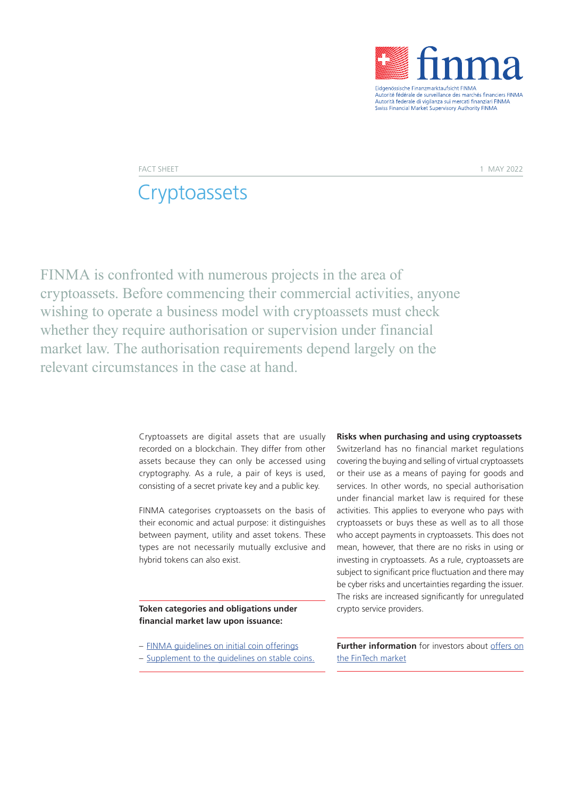

Autorité fédérale de surveillance des marchés financiers FINMA<br>Autorité fédérale de surveillance des marchés financiers FINMA Swiss Financial Market Supervisory Authority FINMA

FACT SHEET A REPORT OF THE SERVICE OF THE SERVICE OF THE SERVICE OF THE SERVICE OF THE SERVICE OF THE SERVICE OF THE SERVICE OF THE SERVICE OF THE SERVICE OF THE SERVICE OF THE SERVICE OF THE SERVICE OF THE SERVICE OF THE

# **Cryptoassets**

FINMA is confronted with numerous projects in the area of cryptoassets. Before commencing their commercial activities, anyone wishing to operate a business model with cryptoassets must check whether they require authorisation or supervision under financial market law. The authorisation requirements depend largely on the relevant circumstances in the case at hand.

> Cryptoassets are digital assets that are usually recorded on a blockchain. They differ from other assets because they can only be accessed using cryptography. As a rule, a pair of keys is used, consisting of a secret private key and a public key.

> FINMA categorises cryptoassets on the basis of their economic and actual purpose: it distinguishes between payment, utility and asset tokens. These types are not necessarily mutually exclusive and hybrid tokens can also exist.

## **Token categories and obligations under financial market law upon issuance:**

- [FINMA guidelines on initial coin offerings](https://www.finma.ch/en/~/media/finma/dokumente/dokumentencenter/myfinma/1bewilligung/fintech/wegleitung-ico.pdf)
- [Supplement to the guidelines on stable coins.](https://www.finma.ch/en/~/media/finma/dokumente/dokumentencenter/myfinma/1bewilligung/fintech/wegleitung-stable-coins.pdf)

#### **Risks when purchasing and using cryptoassets**

Switzerland has no financial market regulations covering the buying and selling of virtual cryptoassets or their use as a means of paying for goods and services. In other words, no special authorisation under financial market law is required for these activities. This applies to everyone who pays with cryptoassets or buys these as well as to all those who accept payments in cryptoassets. This does not mean, however, that there are no risks in using or investing in cryptoassets. As a rule, cryptoassets are subject to significant price fluctuation and there may be cyber risks and uncertainties regarding the issuer. The risks are increased significantly for unregulated crypto service providers.

**Further information** for investors about [offers on](https://www.finma.ch/en/finma-public/fragen-und-antworten/)  [the FinTech market](https://www.finma.ch/en/finma-public/fragen-und-antworten/)